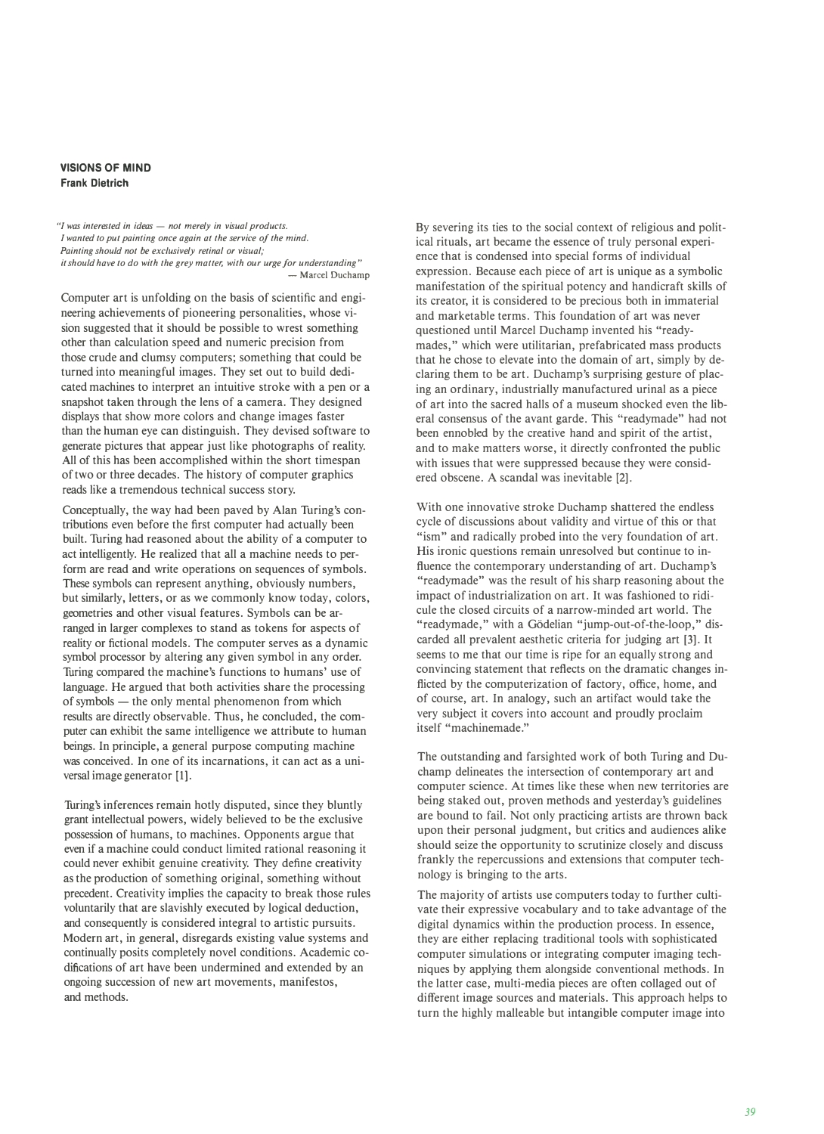## **VISIONS OF MIND Frank Dietrich**

*"I was interested in ideas - not merely in visual products. I wanted to put painting once again at the service of the mind. Painting should not be exclusively retinal or visual; it should have to do with the grey matter, with our urge for understanding"*  - Marcel Duchamp

Computer art is unfolding on the basis of scientific and engineering achievements of pioneering personalities, whose vision suggested that it should be possible to wrest something other than calculation speed and numeric precision from those crude and clumsy computers; something that could be turned into meaningful images. They set out to build dedicated machines to interpret an intuitive stroke with a pen or a snapshot taken through the lens of a camera. They designed displays that show more colors and change images faster than the human eye can distinguish. They devised software to generate pictures that appear just like photographs of reality. All of this has been accomplished within the short timespan of two or three decades. The history of computer graphics reads like a tremendous technical success story.

Conceptually, the way had been paved by Alan Turing's contributions even before the first computer had actually been built. Turing had reasoned about the ability of a computer to act intelligently. He realized that all a machine needs to perform are read and write operations on sequences of symbols. These symbols can represent anything, obviously numbers, but similarly, letters, or as we commonly know today, colors, geometries and other visual features. Symbols can be arranged in larger complexes to stand as tokens for aspects of reality or fictional models. The computer serves as a dynamic symbol processor by altering any given symbol in any order. Turing compared the machine's functions to humans' use of language. He argued that both activities share the processing  $of symbols$  — the only mental phenomenon from which results are directly observable. Thus, he concluded, the computer can exhibit the same intelligence we attribute to human beings. In principle, a general purpose computing machine was conceived. In one of its incarnations, it can act as a universal image generator [l].

Turing's inferences remain hotly disputed, since they bluntly grant intellectual powers, widely believed to be the exclusive possession of humans, to machines. Opponents argue that even if a machine could conduct limited rational reasoning it could never exhibit genuine creativity. They define creativity as the production of something original, something without precedent. Creativity implies the capacity to break those rules voluntarily that are slavishly executed by logical deduction, and consequently is considered integral to artistic pursuits. Modern art, in general, disregards existing value systems and continually posits completely novel conditions. Academic codifications of art have been undermined and extended by an ongoing succession of new art movements, manifestos, and methods.

By severing its ties to the social context of religious and political rituals, art became the essence of truly personal experience that is condensed into special forms of individual expression. Because each piece of art is unique as a symbolic manifestation of the spiritual potency and handicraft skills of its creator, it is considered to be precious both in immaterial and marketable terms. This foundation of art was never questioned until Marcel Duchamp invented his "readymades," which were utilitarian, prefabricated mass products that he chose to elevate into the domain of art, simply by declaring them to be art. Duchamp's surprising gesture of placing an ordinary, industrially manufactured urinal as a piece of art into the sacred halls of a museum shocked even the liberal consensus of the avant garde. This "readymade" had not been ennobled by the creative hand and spirit of the artist, and to make matters worse, it directly confronted the public with issues that were suppressed because they were considered obscene. A scandal was inevitable [2].

With one innovative stroke Duchamp shattered the endless cycle of discussions about validity and virtue of this or that "ism" and radically probed into the very foundation of art. His ironic questions remain unresolved but continue to influence the contemporary understanding of art. Duchamp's "readymade" was the result of his sharp reasoning about the impact of industrialization on art. It was fashioned to ridicule the closed circuits of a narrow-minded art world. The "readymade," with a Gödelian "jump-out-of-the-loop," discarded all prevalent aesthetic criteria for judging art [3]. It seems to me that our time is ripe for an equally strong and convincing statement that reflects on the dramatic changes inflicted by the computerization of factory, office, home, and of course, art. In analogy, such an artifact would take the very subject it covers into account and proudly proclaim itself "machinemade."

The outstanding and farsighted work of both Turing and Duchamp delineates the intersection of contemporary art and computer science. At times like these when new territories are being staked out, proven methods and yesterday's guidelines are bound to fail. Not only practicing artists are thrown back upon their personal judgment, but critics and audiences alike should seize the opportunity to scrutinize closely and discuss frankly the repercussions and extensions that computer technology is bringing to the arts.

The majority of artists use computers today to further cultivate their expressive vocabulary and to take advantage of the digital dynamics within the production process. In essence, they are either replacing traditional tools with sophisticated computer simulations or integrating computer imaging techniques by applying them alongside conventional methods. In the latter case, multi-media pieces are often collaged out of different image sources and materials. This approach helps to turn the highly malleable but intangible computer image into